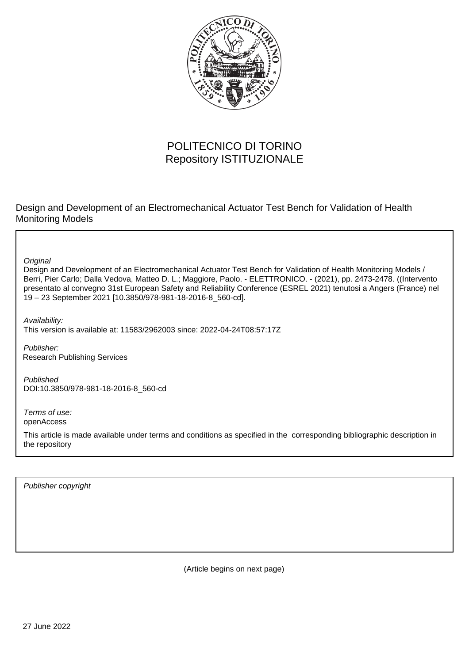

# POLITECNICO DI TORINO Repository ISTITUZIONALE

Design and Development of an Electromechanical Actuator Test Bench for Validation of Health Monitoring Models

**Original** 

Design and Development of an Electromechanical Actuator Test Bench for Validation of Health Monitoring Models / Berri, Pier Carlo; Dalla Vedova, Matteo D. L.; Maggiore, Paolo. - ELETTRONICO. - (2021), pp. 2473-2478. ((Intervento presentato al convegno 31st European Safety and Reliability Conference (ESREL 2021) tenutosi a Angers (France) nel 19 – 23 September 2021 [10.3850/978-981-18-2016-8\_560-cd].

Availability: This version is available at: 11583/2962003 since: 2022-04-24T08:57:17Z

Publisher: Research Publishing Services

Published DOI:10.3850/978-981-18-2016-8\_560-cd

Terms of use: openAccess

This article is made available under terms and conditions as specified in the corresponding bibliographic description in the repository

Publisher copyright

(Article begins on next page)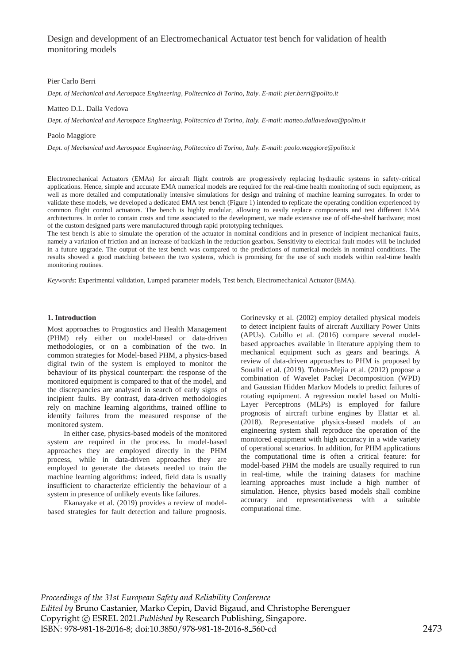Design and development of an Electromechanical Actuator test bench for validation of health monitoring models

#### Pier Carlo Berri

*Dept. of Mechanical and Aerospace Engineering, Politecnico di Torino, Italy. E-mail: pier.berri@polito.it* 

## Matteo D.L. Dalla Vedova

*Dept. of Mechanical and Aerospace Engineering, Politecnico di Torino, Italy. E-mail: matteo.dallavedova@polito.it* 

Paolo Maggiore

*Dept. of Mechanical and Aerospace Engineering, Politecnico di Torino, Italy. E-mail: paolo.maggiore@polito.it* 

Electromechanical Actuators (EMAs) for aircraft flight controls are progressively replacing hydraulic systems in safety-critical applications. Hence, simple and accurate EMA numerical models are required for the real-time health monitoring of such equipment, as well as more detailed and computationally intensive simulations for design and training of machine learning surrogates. In order to validate these models, we developed a dedicated EMA test bench (Figure 1) intended to replicate the operating condition experienced by common flight control actuators. The bench is highly modular, allowing to easily replace components and test different EMA architectures. In order to contain costs and time associated to the development, we made extensive use of off-the-shelf hardware; most of the custom designed parts were manufactured through rapid prototyping techniques.

The test bench is able to simulate the operation of the actuator in nominal conditions and in presence of incipient mechanical faults, namely a variation of friction and an increase of backlash in the reduction gearbox. Sensitivity to electrical fault modes will be included in a future upgrade. The output of the test bench was compared to the predictions of numerical models in nominal conditions. The results showed a good matching between the two systems, which is promising for the use of such models within real-time health monitoring routines.

*Keywords*: Experimental validation, Lumped parameter models, Test bench, Electromechanical Actuator (EMA).

## **1. Introduction**

Most approaches to Prognostics and Health Management (PHM) rely either on model-based or data-driven methodologies, or on a combination of the two. In common strategies for Model-based PHM, a physics-based digital twin of the system is employed to monitor the behaviour of its physical counterpart: the response of the monitored equipment is compared to that of the model, and the discrepancies are analysed in search of early signs of incipient faults. By contrast, data-driven methodologies rely on machine learning algorithms, trained offline to identify failures from the measured response of the monitored system.

In either case, physics-based models of the monitored system are required in the process. In model-based approaches they are employed directly in the PHM process, while in data-driven approaches they are employed to generate the datasets needed to train the machine learning algorithms: indeed, field data is usually insufficient to characterize efficiently the behaviour of a system in presence of unlikely events like failures.

Ekanayake et al. (2019) provides a review of modelbased strategies for fault detection and failure prognosis. Gorinevsky et al. (2002) employ detailed physical models to detect incipient faults of aircraft Auxiliary Power Units (APUs). Cubillo et al. (2016) compare several modelbased approaches available in literature applying them to mechanical equipment such as gears and bearings. A review of data-driven approaches to PHM is proposed by Soualhi et al. (2019). Tobon-Mejia et al. (2012) propose a combination of Wavelet Packet Decomposition (WPD) and Gaussian Hidden Markov Models to predict failures of rotating equipment. A regression model based on Multi-Layer Perceptrons (MLPs) is employed for failure prognosis of aircraft turbine engines by Elattar et al. (2018). Representative physics-based models of an engineering system shall reproduce the operation of the monitored equipment with high accuracy in a wide variety of operational scenarios. In addition, for PHM applications the computational time is often a critical feature: for model-based PHM the models are usually required to run in real-time, while the training datasets for machine learning approaches must include a high number of simulation. Hence, physics based models shall combine accuracy and representativeness with a suitable computational time.

*Proceedings of the 31st European Safety and Reliability Conference Edited by* Bruno Castanier, Marko Cepin, David Bigaud, and Christophe Berenguer Copyright © ESREL 2021.*Published by* Research Publishing, Singapore. ISBN: 978-981-18-2016-8; doi:10.3850/978-981-18-2016-8 560-cd 2473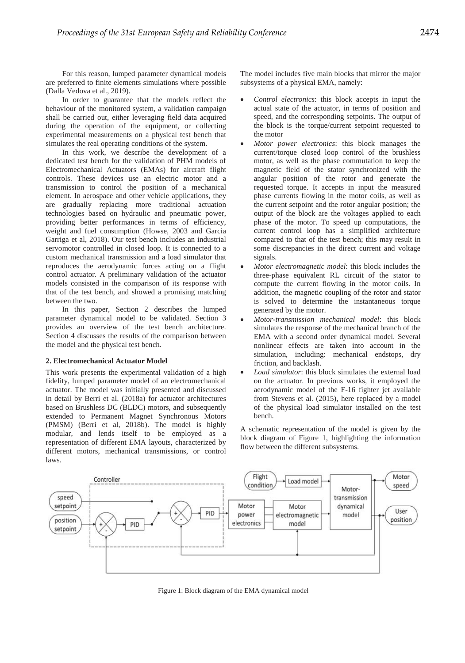For this reason, lumped parameter dynamical models are preferred to finite elements simulations where possible (Dalla Vedova et al., 2019).

In order to guarantee that the models reflect the behaviour of the monitored system, a validation campaign shall be carried out, either leveraging field data acquired during the operation of the equipment, or collecting experimental measurements on a physical test bench that simulates the real operating conditions of the system.

In this work, we describe the development of a dedicated test bench for the validation of PHM models of Electromechanical Actuators (EMAs) for aircraft flight controls. These devices use an electric motor and a transmission to control the position of a mechanical element. In aerospace and other vehicle applications, they are gradually replacing more traditional actuation technologies based on hydraulic and pneumatic power, providing better performances in terms of efficiency, weight and fuel consumption (Howse, 2003 and Garcia Garriga et al, 2018). Our test bench includes an industrial servomotor controlled in closed loop. It is connected to a custom mechanical transmission and a load simulator that reproduces the aerodynamic forces acting on a flight control actuator. A preliminary validation of the actuator models consisted in the comparison of its response with that of the test bench, and showed a promising matching between the two.

In this paper, Section 2 describes the lumped parameter dynamical model to be validated. Section 3 provides an overview of the test bench architecture. Section 4 discusses the results of the comparison between the model and the physical test bench.

# **2. Electromechanical Actuator Model**

This work presents the experimental validation of a high fidelity, lumped parameter model of an electromechanical actuator. The model was initially presented and discussed in detail by Berri et al. (2018a) for actuator architectures based on Brushless DC (BLDC) motors, and subsequently extended to Permanent Magnet Synchronous Motors (PMSM) (Berri et al, 2018b). The model is highly modular, and lends itself to be employed as a representation of different EMA layouts, characterized by different motors, mechanical transmissions, or control laws.

The model includes five main blocks that mirror the major subsystems of a physical EMA, namely:

- Control electronics: this block accepts in input the actual state of the actuator, in terms of position and speed, and the corresponding setpoints. The output of the block is the torque/current setpoint requested to the motor
- x *Motor power electronics*: this block manages the current/torque closed loop control of the brushless motor, as well as the phase commutation to keep the magnetic field of the stator synchronized with the angular position of the rotor and generate the requested torque. It accepts in input the measured phase currents flowing in the motor coils, as well as the current setpoint and the rotor angular position; the output of the block are the voltages applied to each phase of the motor. To speed up computations, the current control loop has a simplified architecture compared to that of the test bench; this may result in some discrepancies in the direct current and voltage signals.
- x *Motor electromagnetic model*: this block includes the three-phase equivalent RL circuit of the stator to compute the current flowing in the motor coils. In addition, the magnetic coupling of the rotor and stator is solved to determine the instantaneous torque generated by the motor.
- x *Motor-transmission mechanical model*: this block simulates the response of the mechanical branch of the EMA with a second order dynamical model. Several nonlinear effects are taken into account in the simulation, including: mechanical endstops, dry friction, and backlash.
- Load simulator: this block simulates the external load on the actuator. In previous works, it employed the aerodynamic model of the F-16 fighter jet available from Stevens et al. (2015), here replaced by a model of the physical load simulator installed on the test bench.

A schematic representation of the model is given by the block diagram of Figure 1, highlighting the information flow between the different subsystems.



Figure 1: Block diagram of the EMA dynamical model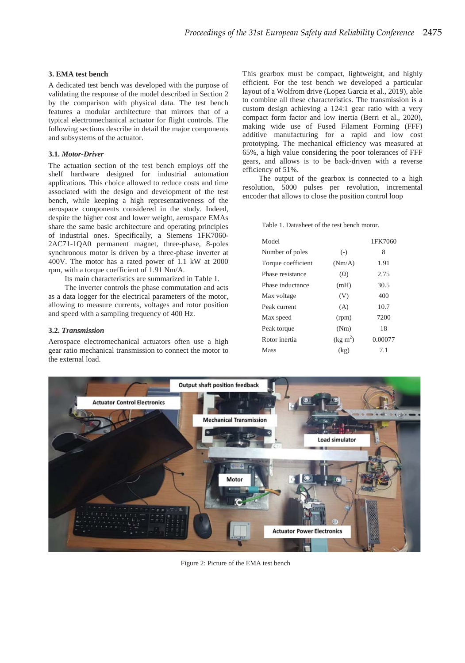# **3. EMA test bench**

A dedicated test bench was developed with the purpose of validating the response of the model described in Section 2 by the comparison with physical data. The test bench features a modular architecture that mirrors that of a typical electromechanical actuator for flight controls. The following sections describe in detail the major components and subsystems of the actuator.

## **3.1.** *Motor-Driver*

The actuation section of the test bench employs off the shelf hardware designed for industrial automation applications. This choice allowed to reduce costs and time associated with the design and development of the test bench, while keeping a high representativeness of the aerospace components considered in the study. Indeed, despite the higher cost and lower weight, aerospace EMAs share the same basic architecture and operating principles of industrial ones. Specifically, a Siemens 1FK7060- 2AC71-1QA0 permanent magnet, three-phase, 8-poles synchronous motor is driven by a three-phase inverter at 400V. The motor has a rated power of 1.1 kW at 2000 rpm, with a torque coefficient of 1.91 Nm/A.

Its main characteristics are summarized in Table 1.

The inverter controls the phase commutation and acts as a data logger for the electrical parameters of the motor, allowing to measure currents, voltages and rotor position and speed with a sampling frequency of 400 Hz.

## **3.2.** *Transmission*

Aerospace electromechanical actuators often use a high gear ratio mechanical transmission to connect the motor to the external load.

This gearbox must be compact, lightweight, and highly efficient. For the test bench we developed a particular layout of a Wolfrom drive (Lopez Garcia et al., 2019), able to combine all these characteristics. The transmission is a custom design achieving a 124:1 gear ratio with a very compact form factor and low inertia (Berri et al., 2020), making wide use of Fused Filament Forming (FFF) additive manufacturing for a rapid and low cost prototyping. The mechanical efficiency was measured at 65%, a high value considering the poor tolerances of FFF gears, and allows is to be back-driven with a reverse efficiency of 51%.

The output of the gearbox is connected to a high resolution, 5000 pulses per revolution, incremental encoder that allows to close the position control loop

Table 1. Datasheet of the test bench motor.

| Model              |                   | 1FK7060 |
|--------------------|-------------------|---------|
| Number of poles    | $(-)$             | 8       |
| Torque coefficient | (Nm/A)            | 1.91    |
| Phase resistance   | $(\Omega)$        | 2.75    |
| Phase inductance   | (mH)              | 30.5    |
| Max voltage        | (V)               | 400     |
| Peak current       | (A)               | 10.7    |
| Max speed          | (rpm)             | 7200    |
| Peak torque        | (Nm)              | 18      |
| Rotor inertia      | $(\text{kg m}^2)$ | 0.00077 |
| Mass               | (kg)              | 71      |



Figure 2: Picture of the EMA test bench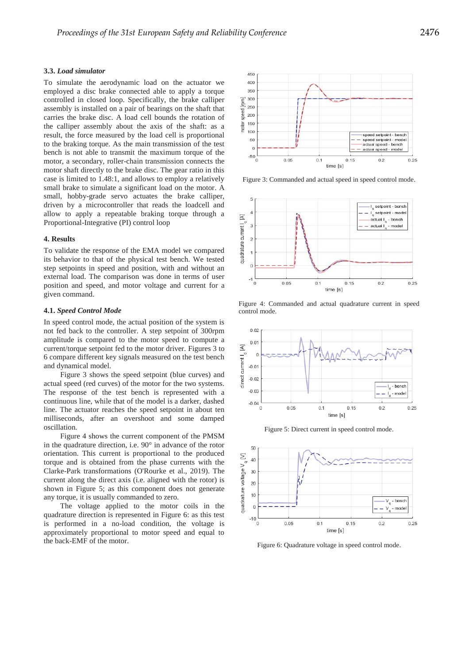# **3.3.** *Load simulator*

To simulate the aerodynamic load on the actuator we employed a disc brake connected able to apply a torque controlled in closed loop. Specifically, the brake calliper assembly is installed on a pair of bearings on the shaft that carries the brake disc. A load cell bounds the rotation of the calliper assembly about the axis of the shaft: as a result, the force measured by the load cell is proportional to the braking torque. As the main transmission of the test bench is not able to transmit the maximum torque of the motor, a secondary, roller-chain transmission connects the motor shaft directly to the brake disc. The gear ratio in this case is limited to 1.48:1, and allows to employ a relatively small brake to simulate a significant load on the motor. A small, hobby-grade servo actuates the brake calliper, driven by a microcontroller that reads the loadcell and allow to apply a repeatable braking torque through a Proportional-Integrative (PI) control loop

## **4. Results**

To validate the response of the EMA model we compared its behavior to that of the physical test bench. We tested step setpoints in speed and position, with and without an external load. The comparison was done in terms of user position and speed, and motor voltage and current for a given command.

#### **4.1.** *Speed Control Mode*

In speed control mode, the actual position of the system is not fed back to the controller. A step setpoint of 300rpm amplitude is compared to the motor speed to compute a current/torque setpoint fed to the motor driver. Figures 3 to 6 compare different key signals measured on the test bench and dynamical model.

Figure 3 shows the speed setpoint (blue curves) and actual speed (red curves) of the motor for the two systems. The response of the test bench is represented with a continuous line, while that of the model is a darker, dashed line. The actuator reaches the speed setpoint in about ten milliseconds, after an overshoot and some damped oscillation.

Figure 4 shows the current component of the PMSM in the quadrature direction, i.e. 90° in advance of the rotor orientation. This current is proportional to the produced torque and is obtained from the phase currents with the Clarke-Park transformations (O'Rourke et al., 2019). The current along the direct axis (i.e. aligned with the rotor) is shown in Figure 5; as this component does not generate any torque, it is usually commanded to zero.

The voltage applied to the motor coils in the quadrature direction is represented in Figure 6: as this test is performed in a no-load condition, the voltage is approximately proportional to motor speed and equal to the back-EMF of the motor.



Figure 3: Commanded and actual speed in speed control mode.



Figure 4: Commanded and actual quadrature current in speed control mode.



Figure 5: Direct current in speed control mode.



Figure 6: Quadrature voltage in speed control mode.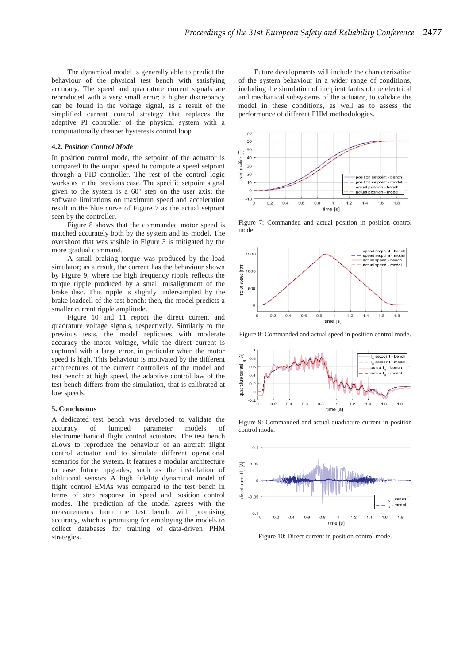The dynamical model is generally able to predict the behaviour of the physical test bench with satisfying accuracy. The speed and quadrature current signals are reproduced with a very small error; a higher discrepancy can be found in the voltage signal, as a result of the simplified current control strategy that replaces the adaptive PI controller of the physical system with a computationally cheaper hysteresis control loop.

## **4.2.** *Position Control Mode*

In position control mode, the setpoint of the actuator is compared to the output speed to compute a speed setpoint through a PID controller. The rest of the control logic works as in the previous case. The specific setpoint signal given to the system is a 60° step on the user axis; the software limitations on maximum speed and acceleration result in the blue curve of Figure 7 as the actual setpoint seen by the controller.

Figure 8 shows that the commanded motor speed is matched accurately both by the system and its model. The overshoot that was visible in Figure 3 is mitigated by the more gradual command.

A small braking torque was produced by the load simulator; as a result, the current has the behaviour shown by Figure 9, where the high frequency ripple reflects the torque ripple produced by a small misalignment of the brake disc. This ripple is slightly undersampled by the brake loadcell of the test bench: then, the model predicts a smaller current ripple amplitude.

Figure 10 and 11 report the direct current and quadrature voltage signals, respectively. Similarly to the previous tests, the model replicates with moderate accuracy the motor voltage, while the direct current is captured with a large error, in particular when the motor speed is high. This behaviour is motivated by the different architectures of the current controllers of the model and test bench: at high speed, the adaptive control law of the test bench differs from the simulation, that is calibrated at low speeds.

#### **5. Conclusions**

A dedicated test bench was developed to validate the accuracy of lumped parameter models of electromechanical flight control actuators. The test bench allows to reproduce the behaviour of an aircraft flight control actuator and to simulate different operational scenarios for the system. It features a modular architecture to ease future upgrades, such as the installation of additional sensors A high fidelity dynamical model of flight control EMAs was compared to the test bench in terms of step response in speed and position control modes. The prediction of the model agrees with the measurements from the test bench with promising accuracy, which is promising for employing the models to collect databases for training of data-driven PHM strategies.

Future developments will include the characterization of the system behaviour in a wider range of conditions, including the simulation of incipient faults of the electrical and mechanical subsystems of the actuator, to validate the model in these conditions, as well as to assess the performance of different PHM methodologies.



Figure 7: Commanded and actual position in position control mode.



Figure 8: Commanded and actual speed in position control mode.



Figure 9: Commanded and actual quadrature current in position control mode.



Figure 10: Direct current in position control mode.